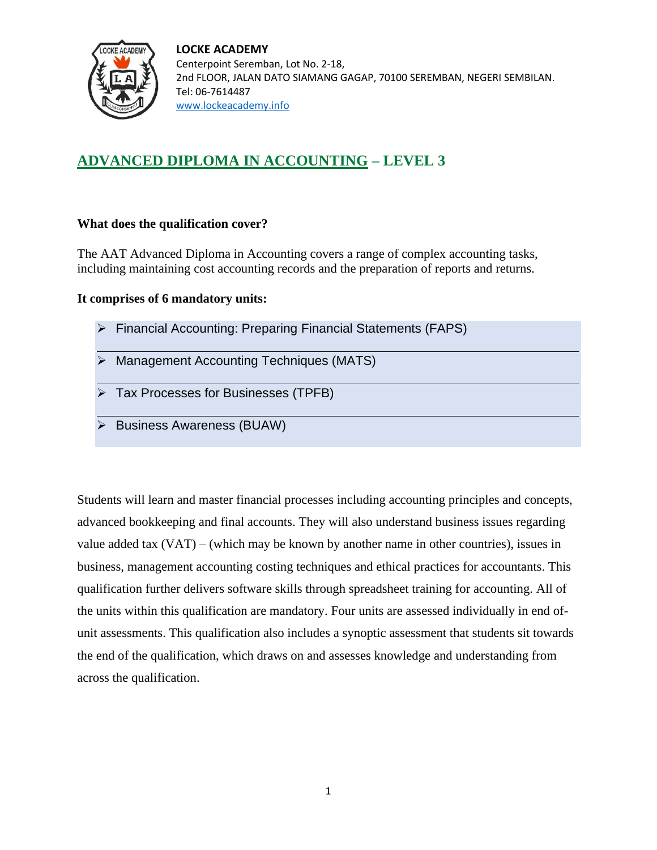

**LOCKE ACADEMY** Centerpoint Seremban, Lot No. 2-18, 2nd FLOOR, JALAN DATO SIAMANG GAGAP, 70100 SEREMBAN, NEGERI SEMBILAN. Tel: 06-7614487 <www.lockeacademy.info>

# **ADVANCED DIPLOMA IN ACCOUNTING – LEVEL 3**

### **What does the qualification cover?**

The AAT Advanced Diploma in Accounting covers a range of complex accounting tasks, including maintaining cost accounting records and the preparation of reports and returns.

### **It comprises of 6 mandatory units:**

| $\triangleright$ Financial Accounting: Preparing Financial Statements (FAPS) |
|------------------------------------------------------------------------------|
| $\triangleright$ Management Accounting Techniques (MATS)                     |
| $\triangleright$ Tax Processes for Businesses (TPFB)                         |
| $\triangleright$ Business Awareness (BUAW)                                   |

Students will learn and master financial processes including accounting principles and concepts, advanced bookkeeping and final accounts. They will also understand business issues regarding value added tax (VAT) – (which may be known by another name in other countries), issues in business, management accounting costing techniques and ethical practices for accountants. This qualification further delivers software skills through spreadsheet training for accounting. All of the units within this qualification are mandatory. Four units are assessed individually in end ofunit assessments. This qualification also includes a synoptic assessment that students sit towards the end of the qualification, which draws on and assesses knowledge and understanding from across the qualification.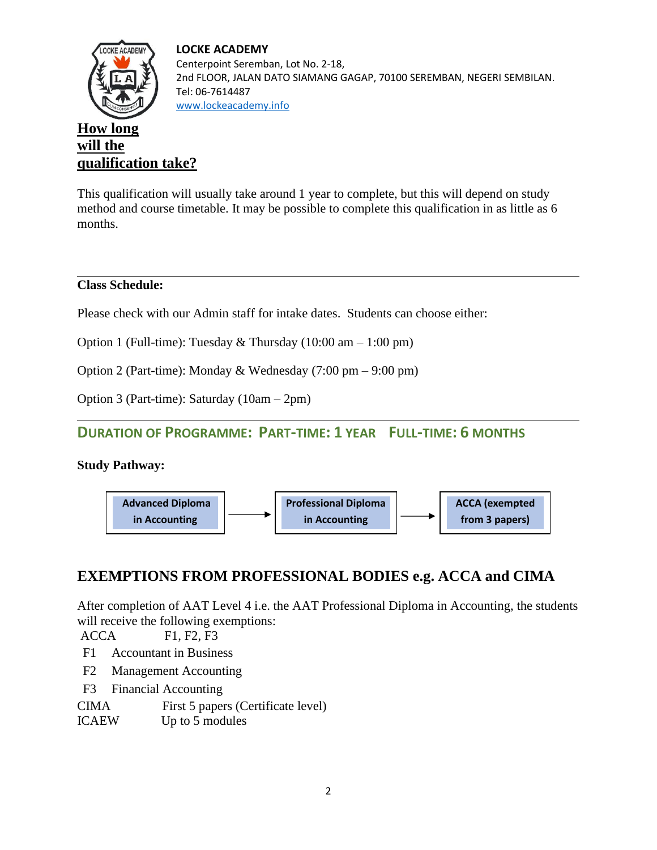#### **LOCKE ACADEMY**



Centerpoint Seremban, Lot No. 2-18, 2nd FLOOR, JALAN DATO SIAMANG GAGAP, 70100 SEREMBAN, NEGERI SEMBILAN. Tel: 06-7614487 <www.lockeacademy.info>

# **How long will the qualification take?**

This qualification will usually take around 1 year to complete, but this will depend on study method and course timetable. It may be possible to complete this qualification in as little as 6 months.

## **Class Schedule:**

Please check with our Admin staff for intake dates. Students can choose either:

Option 1 (Full-time): Tuesday  $&$  Thursday (10:00 am – 1:00 pm)

Option 2 (Part-time): Monday & Wednesday (7:00 pm – 9:00 pm)

Option 3 (Part-time): Saturday (10am – 2pm)

# **DURATION OF PROGRAMME: PART-TIME: 1 YEAR FULL-TIME: 6 MONTHS**

## **Study Pathway:**



# **EXEMPTIONS FROM PROFESSIONAL BODIES e.g. ACCA and CIMA**

After completion of AAT Level 4 i.e. the AAT Professional Diploma in Accounting, the students will receive the following exemptions:

ACCA F1, F2, F3

- F1 [Accountant in Business](http://www.accaglobal.com/zm/en/student/acca-qual-student-journey/qual-resource/acca-qualification/f1.html)
- F2 [Management Accounting](http://www.accaglobal.com/zm/en/student/acca-qual-student-journey/qual-resource/acca-qualification/f2.html)
- F3 [Financial Accounting](http://www.accaglobal.com/zm/en/student/acca-qual-student-journey/qual-resource/acca-qualification/f3.html)

CIMA First 5 papers (Certificate level)

ICAEW Up to 5 modules